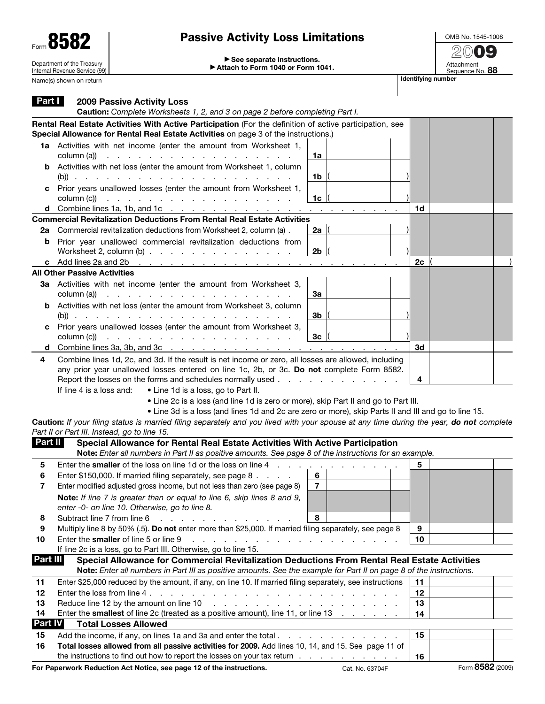| Form 8582                                                   | <b>Passive Activity Loss Limitations</b>                                         |                    | OME                    |
|-------------------------------------------------------------|----------------------------------------------------------------------------------|--------------------|------------------------|
| Department of the Treasury<br>Internal Revenue Service (99) | $\triangleright$ See separate instructions.<br>Attach to Form 1040 or Form 1041. |                    | G<br>72<br>Atta<br>Sea |
| Name(s) shown on return                                     |                                                                                  | Identifying number |                        |

## Passive Activity Loss Limitations

OMB No. 1545-1008 **20**09 Attachment<br>Sequence No. **88** 

| Part I                                                                                                                                                                                                                                                                                                                                                                            | <b>2009 Passive Activity Loss</b><br>Caution: Complete Worksheets 1, 2, and 3 on page 2 before completing Part I.                                                                                                                                                                                                                                                                                                                                                                                                                 |                 |          |                  |
|-----------------------------------------------------------------------------------------------------------------------------------------------------------------------------------------------------------------------------------------------------------------------------------------------------------------------------------------------------------------------------------|-----------------------------------------------------------------------------------------------------------------------------------------------------------------------------------------------------------------------------------------------------------------------------------------------------------------------------------------------------------------------------------------------------------------------------------------------------------------------------------------------------------------------------------|-----------------|----------|------------------|
|                                                                                                                                                                                                                                                                                                                                                                                   | Rental Real Estate Activities With Active Participation (For the definition of active participation, see<br>Special Allowance for Rental Real Estate Activities on page 3 of the instructions.)                                                                                                                                                                                                                                                                                                                                   |                 |          |                  |
|                                                                                                                                                                                                                                                                                                                                                                                   | 1a Activities with net income (enter the amount from Worksheet 1,<br>column (a))<br>a construction of the contract of the construction of the construction of the contract of the construction of                                                                                                                                                                                                                                                                                                                                 | 1a              |          |                  |
|                                                                                                                                                                                                                                                                                                                                                                                   | <b>b</b> Activities with net loss (enter the amount from Worksheet 1, column                                                                                                                                                                                                                                                                                                                                                                                                                                                      | 1b              |          |                  |
| c                                                                                                                                                                                                                                                                                                                                                                                 | Prior years unallowed losses (enter the amount from Worksheet 1,<br>column (c))<br>a construction of the contract of the construction of the construction of the contract of the construction of                                                                                                                                                                                                                                                                                                                                  | 1c              |          |                  |
|                                                                                                                                                                                                                                                                                                                                                                                   | <b>d</b> Combine lines 1a, 1b, and 1c $\ldots$ $\ldots$ $\ldots$ $\ldots$ $\ldots$ $\ldots$ $\ldots$                                                                                                                                                                                                                                                                                                                                                                                                                              |                 | 1d       |                  |
|                                                                                                                                                                                                                                                                                                                                                                                   | <b>Commercial Revitalization Deductions From Rental Real Estate Activities</b>                                                                                                                                                                                                                                                                                                                                                                                                                                                    |                 |          |                  |
| 2a                                                                                                                                                                                                                                                                                                                                                                                | Commercial revitalization deductions from Worksheet 2, column (a) .                                                                                                                                                                                                                                                                                                                                                                                                                                                               | 2a              |          |                  |
| b                                                                                                                                                                                                                                                                                                                                                                                 | Prior year unallowed commercial revitalization deductions from<br>Worksheet 2, column $(b)$                                                                                                                                                                                                                                                                                                                                                                                                                                       | 2 <sub>b</sub>  |          |                  |
| c                                                                                                                                                                                                                                                                                                                                                                                 | Add lines 2a and 2b $\ldots$ $\ldots$ $\ldots$                                                                                                                                                                                                                                                                                                                                                                                                                                                                                    |                 | 2c       |                  |
|                                                                                                                                                                                                                                                                                                                                                                                   | <b>All Other Passive Activities</b>                                                                                                                                                                                                                                                                                                                                                                                                                                                                                               |                 |          |                  |
|                                                                                                                                                                                                                                                                                                                                                                                   | 3a Activities with net income (enter the amount from Worksheet 3,<br>column (a))<br>and the contract of the contract of the contract of the contract of the contract of the contract of the contract of the contract of the contract of the contract of the contract of the contract of the contract of the contra                                                                                                                                                                                                                | За              |          |                  |
|                                                                                                                                                                                                                                                                                                                                                                                   | <b>b</b> Activities with net loss (enter the amount from Worksheet 3, column                                                                                                                                                                                                                                                                                                                                                                                                                                                      | 3b              |          |                  |
| c                                                                                                                                                                                                                                                                                                                                                                                 | Prior years unallowed losses (enter the amount from Worksheet 3,<br>column (c))<br>and the contract of the contract of the contract of the contract of                                                                                                                                                                                                                                                                                                                                                                            | 3 <sub>c</sub>  |          |                  |
| d                                                                                                                                                                                                                                                                                                                                                                                 |                                                                                                                                                                                                                                                                                                                                                                                                                                                                                                                                   |                 | 3d       |                  |
| 4                                                                                                                                                                                                                                                                                                                                                                                 | Combine lines 1d, 2c, and 3d. If the result is net income or zero, all losses are allowed, including<br>any prior year unallowed losses entered on line 1c, 2b, or 3c. Do not complete Form 8582.<br>Report the losses on the forms and schedules normally used<br>If line 4 is a loss and:<br>• Line 1d is a loss, go to Part II.<br>• Line 2c is a loss (and line 1d is zero or more), skip Part II and go to Part III.<br>• Line 3d is a loss (and lines 1d and 2c are zero or more), skip Parts II and III and go to line 15. |                 | 4        |                  |
|                                                                                                                                                                                                                                                                                                                                                                                   | Caution: If your filing status is married filing separately and you lived with your spouse at any time during the year, do not complete<br>Part II or Part III. Instead, go to line 15.                                                                                                                                                                                                                                                                                                                                           |                 |          |                  |
| Part II                                                                                                                                                                                                                                                                                                                                                                           | Special Allowance for Rental Real Estate Activities With Active Participation                                                                                                                                                                                                                                                                                                                                                                                                                                                     |                 |          |                  |
|                                                                                                                                                                                                                                                                                                                                                                                   | Note: Enter all numbers in Part II as positive amounts. See page 8 of the instructions for an example.                                                                                                                                                                                                                                                                                                                                                                                                                            |                 |          |                  |
| 5                                                                                                                                                                                                                                                                                                                                                                                 | Enter the smaller of the loss on line 1d or the loss on line 4<br><b>Service State</b>                                                                                                                                                                                                                                                                                                                                                                                                                                            |                 | 5        |                  |
| 6                                                                                                                                                                                                                                                                                                                                                                                 | Enter \$150,000. If married filing separately, see page 8                                                                                                                                                                                                                                                                                                                                                                                                                                                                         | 6               |          |                  |
| 7                                                                                                                                                                                                                                                                                                                                                                                 | Enter modified adjusted gross income, but not less than zero (see page 8)                                                                                                                                                                                                                                                                                                                                                                                                                                                         | $\overline{7}$  |          |                  |
|                                                                                                                                                                                                                                                                                                                                                                                   | Note: If line 7 is greater than or equal to line 6, skip lines 8 and 9,<br>enter -0- on line 10. Otherwise, go to line 8.                                                                                                                                                                                                                                                                                                                                                                                                         |                 |          |                  |
| 8                                                                                                                                                                                                                                                                                                                                                                                 | Subtract line 7 from line 6<br><b>Carl Common</b>                                                                                                                                                                                                                                                                                                                                                                                                                                                                                 | 8               |          |                  |
| 9                                                                                                                                                                                                                                                                                                                                                                                 | Multiply line 8 by 50% (.5). Do not enter more than \$25,000. If married filing separately, see page 8                                                                                                                                                                                                                                                                                                                                                                                                                            |                 | 9        |                  |
| 10                                                                                                                                                                                                                                                                                                                                                                                | Enter the smaller of line 5 or line 9<br>and the contract of the contract of the contract of the contract of the contract of the contract of the contract of the contract of the contract of the contract of the contract of the contract of the contract of the contra<br>If line 2c is a loss, go to Part III. Otherwise, go to line 15.                                                                                                                                                                                        |                 | 10       |                  |
| <b>Part III</b>                                                                                                                                                                                                                                                                                                                                                                   | Special Allowance for Commercial Revitalization Deductions From Rental Real Estate Activities                                                                                                                                                                                                                                                                                                                                                                                                                                     |                 |          |                  |
|                                                                                                                                                                                                                                                                                                                                                                                   | Note: Enter all numbers in Part III as positive amounts. See the example for Part II on page 8 of the instructions.                                                                                                                                                                                                                                                                                                                                                                                                               |                 |          |                  |
| 11                                                                                                                                                                                                                                                                                                                                                                                | Enter \$25,000 reduced by the amount, if any, on line 10. If married filing separately, see instructions                                                                                                                                                                                                                                                                                                                                                                                                                          |                 | 11       |                  |
| 12                                                                                                                                                                                                                                                                                                                                                                                | Enter the loss from line 4.                                                                                                                                                                                                                                                                                                                                                                                                                                                                                                       |                 | 12       |                  |
| 13<br>Reduce line 12 by the amount on line 10<br>and the contract of the contract of the contract of the contract of the contract of the contract of the contract of the contract of the contract of the contract of the contract of the contract of the contract of the contra<br>Enter the <b>smallest</b> of line 2c (treated as a positive amount), line 11, or line 13<br>14 |                                                                                                                                                                                                                                                                                                                                                                                                                                                                                                                                   |                 | 13<br>14 |                  |
| <b>Part IV</b><br><b>Total Losses Allowed</b>                                                                                                                                                                                                                                                                                                                                     |                                                                                                                                                                                                                                                                                                                                                                                                                                                                                                                                   |                 |          |                  |
|                                                                                                                                                                                                                                                                                                                                                                                   |                                                                                                                                                                                                                                                                                                                                                                                                                                                                                                                                   |                 |          |                  |
| 15<br>16                                                                                                                                                                                                                                                                                                                                                                          | Total losses allowed from all passive activities for 2009. Add lines 10, 14, and 15. See page 11 of                                                                                                                                                                                                                                                                                                                                                                                                                               |                 | 15       |                  |
|                                                                                                                                                                                                                                                                                                                                                                                   | the instructions to find out how to report the losses on your tax return                                                                                                                                                                                                                                                                                                                                                                                                                                                          |                 | 16       |                  |
|                                                                                                                                                                                                                                                                                                                                                                                   | For Paperwork Reduction Act Notice, see page 12 of the instructions.                                                                                                                                                                                                                                                                                                                                                                                                                                                              | Cat. No. 63704F |          | Form 8582 (2009) |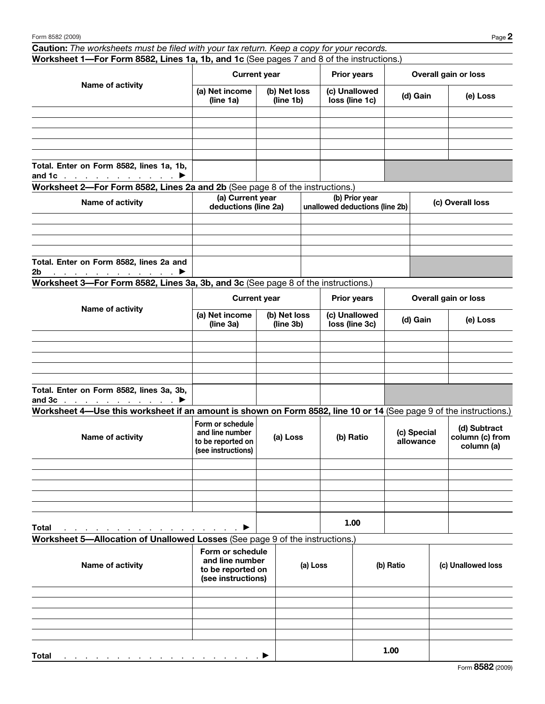| Caution: The worksheets must be filed with your tax return. Keep a copy for your records.                                        |                                                                                |                           |                    |                                                  |           |                                                                           |                    |  |
|----------------------------------------------------------------------------------------------------------------------------------|--------------------------------------------------------------------------------|---------------------------|--------------------|--------------------------------------------------|-----------|---------------------------------------------------------------------------|--------------------|--|
| Worksheet 1-For Form 8582, Lines 1a, 1b, and 1c (See pages 7 and 8 of the instructions.)                                         |                                                                                |                           |                    |                                                  |           |                                                                           |                    |  |
| Name of activity                                                                                                                 | <b>Current year</b>                                                            |                           | <b>Prior years</b> |                                                  |           | <b>Overall gain or loss</b>                                               |                    |  |
|                                                                                                                                  | (a) Net income<br>(line 1a)                                                    | (b) Net loss<br>(line 1b) |                    | (c) Unallowed<br>loss (line 1c)                  |           | (d) Gain                                                                  | (e) Loss           |  |
|                                                                                                                                  |                                                                                |                           |                    |                                                  |           |                                                                           |                    |  |
|                                                                                                                                  |                                                                                |                           |                    |                                                  |           |                                                                           |                    |  |
|                                                                                                                                  |                                                                                |                           |                    |                                                  |           |                                                                           |                    |  |
|                                                                                                                                  |                                                                                |                           |                    |                                                  |           |                                                                           |                    |  |
| Total. Enter on Form 8582, lines 1a, 1b,<br>and 1c $\cdots$ $\cdots$ $\cdot$                                                     |                                                                                |                           |                    |                                                  |           |                                                                           |                    |  |
| Worksheet 2-For Form 8582, Lines 2a and 2b (See page 8 of the instructions.)                                                     |                                                                                |                           |                    |                                                  |           |                                                                           |                    |  |
| Name of activity                                                                                                                 | (a) Current year<br>deductions (line 2a)                                       |                           |                    | (b) Prior year<br>unallowed deductions (line 2b) |           |                                                                           | (c) Overall loss   |  |
|                                                                                                                                  |                                                                                |                           |                    |                                                  |           |                                                                           |                    |  |
|                                                                                                                                  |                                                                                |                           |                    |                                                  |           |                                                                           |                    |  |
|                                                                                                                                  |                                                                                |                           |                    |                                                  |           |                                                                           |                    |  |
| Total. Enter on Form 8582, lines 2a and<br>. The second contract is a set of $\blacktriangleright$<br>2b                         |                                                                                |                           |                    |                                                  |           |                                                                           |                    |  |
| Worksheet 3-For Form 8582, Lines 3a, 3b, and 3c (See page 8 of the instructions.)                                                |                                                                                |                           |                    |                                                  |           |                                                                           |                    |  |
|                                                                                                                                  | <b>Current year</b>                                                            |                           |                    | <b>Prior years</b>                               |           | <b>Overall gain or loss</b>                                               |                    |  |
| Name of activity                                                                                                                 | (a) Net income<br>(b) Net loss<br>(line 3b)<br>(line 3a)                       |                           |                    | (c) Unallowed<br>loss (line 3c)                  |           | (d) Gain                                                                  | (e) Loss           |  |
|                                                                                                                                  |                                                                                |                           |                    |                                                  |           |                                                                           |                    |  |
|                                                                                                                                  |                                                                                |                           |                    |                                                  |           |                                                                           |                    |  |
|                                                                                                                                  |                                                                                |                           |                    |                                                  |           |                                                                           |                    |  |
|                                                                                                                                  |                                                                                |                           |                    |                                                  |           |                                                                           |                    |  |
| Total. Enter on Form 8582, lines 3a, 3b,<br>and 3c $\ldots$ $\ldots$ $\ldots$ $\ldots$                                           |                                                                                |                           |                    |                                                  |           |                                                                           |                    |  |
| Worksheet 4—Use this worksheet if an amount is shown on Form 8582, line 10 or 14 (See page 9 of the instructions.)               |                                                                                |                           |                    |                                                  |           |                                                                           |                    |  |
| Name of activity                                                                                                                 | Form or schedule<br>and line number<br>to be reported on<br>(see instructions) | (a) Loss                  |                    | (b) Ratio                                        |           | (d) Subtract<br>(c) Special<br>column (c) from<br>allowance<br>column (a) |                    |  |
|                                                                                                                                  |                                                                                |                           |                    |                                                  |           |                                                                           |                    |  |
|                                                                                                                                  |                                                                                |                           |                    |                                                  |           |                                                                           |                    |  |
|                                                                                                                                  |                                                                                |                           |                    |                                                  |           |                                                                           |                    |  |
|                                                                                                                                  |                                                                                |                           |                    |                                                  |           |                                                                           |                    |  |
|                                                                                                                                  |                                                                                |                           |                    | 1.00                                             |           |                                                                           |                    |  |
| Total<br>a di sebagai kacamatan ing Kabupatèn Pr<br>Worksheet 5-Allocation of Unallowed Losses (See page 9 of the instructions.) |                                                                                |                           |                    |                                                  |           |                                                                           |                    |  |
|                                                                                                                                  |                                                                                |                           |                    |                                                  |           |                                                                           |                    |  |
| Name of activity                                                                                                                 | Form or schedule<br>and line number<br>to be reported on<br>(see instructions) | (a) Loss                  |                    |                                                  | (b) Ratio |                                                                           | (c) Unallowed loss |  |
|                                                                                                                                  |                                                                                |                           |                    |                                                  |           |                                                                           |                    |  |
|                                                                                                                                  |                                                                                |                           |                    |                                                  |           |                                                                           |                    |  |
|                                                                                                                                  |                                                                                |                           |                    |                                                  |           |                                                                           |                    |  |
|                                                                                                                                  |                                                                                |                           |                    |                                                  |           |                                                                           |                    |  |
|                                                                                                                                  |                                                                                |                           |                    |                                                  |           |                                                                           |                    |  |
| <b>Total</b>                                                                                                                     |                                                                                |                           |                    |                                                  | 1.00      |                                                                           |                    |  |